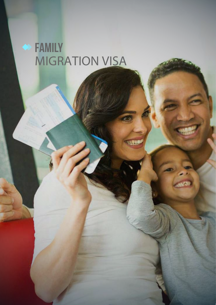## SEAMILY **MIGRATION VISA**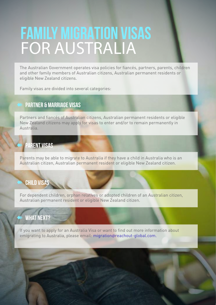# **family MIGRATION VISAS**  FOR AUSTRALIA

The Australian Government operates visa policies for fiancés, partners, parents, children and other family members of Australian citizens, Australian permanent residents or eligible New Zealand citizens.

Family visas are divided into several categories:

### **Partner & Marriage Visas**

Partners and fiancés of Australian citizens, Australian permanent residents or eligible New Zealand citizens may apply for visas to enter and/or to remain permanently in Australia.

### **Parent Visas**

Parents may be able to migrate to Australia if they have a child in Australia who is an Australian citizen, Australian permanent resident or eligible New Zealand citizen.

### **Child Visas**

For dependent children, orphan relatives or adopted children of an Australian citizen, Australian permanent resident or eligible New Zealand citizen.

### **What Next?**

If you want to apply for an Australia Visa or want to find out more information about emigrating to Australia, please email: migration@reachout-global.com.